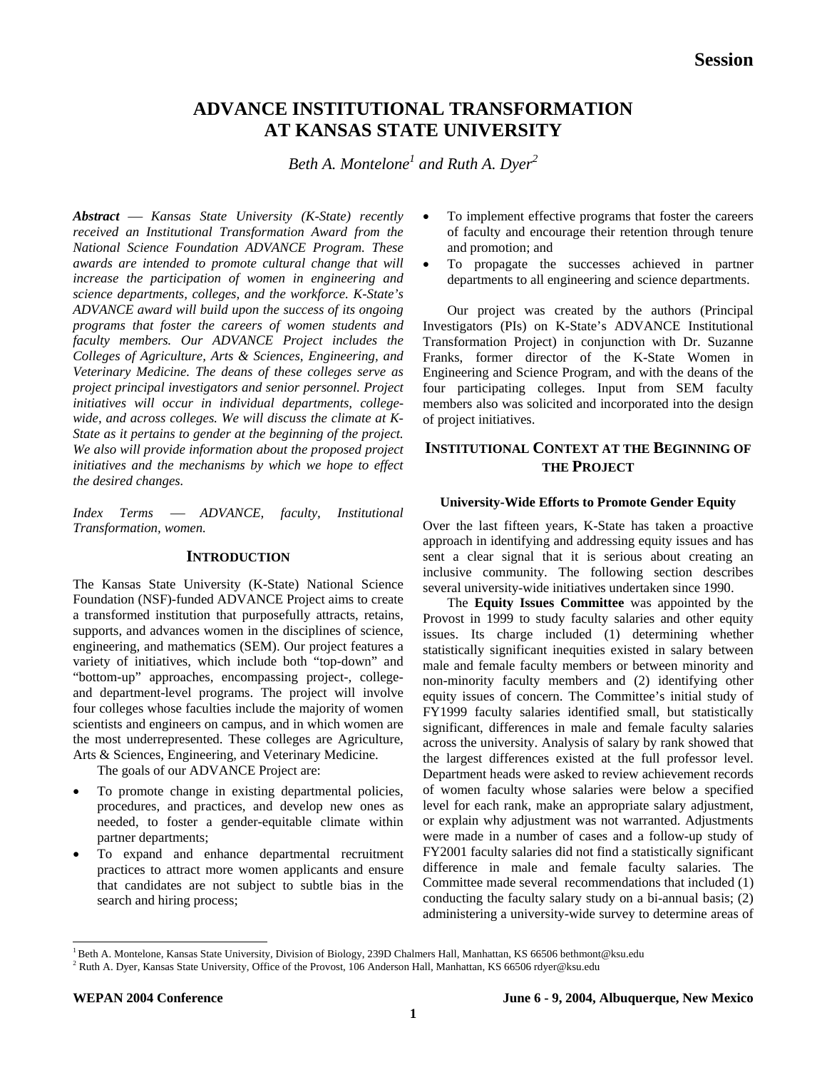# **ADVANCE INSTITUTIONAL TRANSFORMATION AT KANSAS STATE UNIVERSITY**

*Beth A. Montelon[e1](#page-0-0) and Ruth A. Dyer[2](#page-0-1)*

*Abstract* — *Kansas State University (K-State) recently received an Institutional Transformation Award from the National Science Foundation ADVANCE Program. These awards are intended to promote cultural change that will increase the participation of women in engineering and science departments, colleges, and the workforce. K-State's ADVANCE award will build upon the success of its ongoing programs that foster the careers of women students and faculty members. Our ADVANCE Project includes the Colleges of Agriculture, Arts & Sciences, Engineering, and Veterinary Medicine. The deans of these colleges serve as project principal investigators and senior personnel. Project initiatives will occur in individual departments, collegewide, and across colleges. We will discuss the climate at K-State as it pertains to gender at the beginning of the project. We also will provide information about the proposed project initiatives and the mechanisms by which we hope to effect the desired changes.* 

*Index Terms* ⎯ *ADVANCE, faculty, Institutional Transformation, women.*

# **INTRODUCTION**

The Kansas State University (K-State) National Science Foundation (NSF)-funded ADVANCE Project aims to create a transformed institution that purposefully attracts, retains, supports, and advances women in the disciplines of science, engineering, and mathematics (SEM). Our project features a variety of initiatives, which include both "top-down" and "bottom-up" approaches, encompassing project-, collegeand department-level programs. The project will involve four colleges whose faculties include the majority of women scientists and engineers on campus, and in which women are the most underrepresented. These colleges are Agriculture, Arts & Sciences, Engineering, and Veterinary Medicine.

The goals of our ADVANCE Project are:

- To promote change in existing departmental policies, procedures, and practices, and develop new ones as needed, to foster a gender-equitable climate within partner departments;
- To expand and enhance departmental recruitment practices to attract more women applicants and ensure that candidates are not subject to subtle bias in the search and hiring process;
- To implement effective programs that foster the careers of faculty and encourage their retention through tenure and promotion; and
- To propagate the successes achieved in partner departments to all engineering and science departments.

Our project was created by the authors (Principal Investigators (PIs) on K-State's ADVANCE Institutional Transformation Project) in conjunction with Dr. Suzanne Franks, former director of the K-State Women in Engineering and Science Program, and with the deans of the four participating colleges. Input from SEM faculty members also was solicited and incorporated into the design of project initiatives.

# **INSTITUTIONAL CONTEXT AT THE BEGINNING OF THE PROJECT**

# **University-Wide Efforts to Promote Gender Equity**

Over the last fifteen years, K-State has taken a proactive approach in identifying and addressing equity issues and has sent a clear signal that it is serious about creating an inclusive community. The following section describes several university-wide initiatives undertaken since 1990.

The **Equity Issues Committee** was appointed by the Provost in 1999 to study faculty salaries and other equity issues. Its charge included (1) determining whether statistically significant inequities existed in salary between male and female faculty members or between minority and non-minority faculty members and (2) identifying other equity issues of concern. The Committee's initial study of FY1999 faculty salaries identified small, but statistically significant, differences in male and female faculty salaries across the university. Analysis of salary by rank showed that the largest differences existed at the full professor level. Department heads were asked to review achievement records of women faculty whose salaries were below a specified level for each rank, make an appropriate salary adjustment, or explain why adjustment was not warranted. Adjustments were made in a number of cases and a follow-up study of FY2001 faculty salaries did not find a statistically significant difference in male and female faculty salaries. The Committee made several recommendations that included (1) conducting the faculty salary study on a bi-annual basis; (2) administering a university-wide survey to determine areas of

<span id="page-0-0"></span><sup>&</sup>lt;sup>1</sup> Beth A. Montelone, Kansas State University, Division of Biology, 239D Chalmers Hall, Manhattan, KS 66506 bethmont@ksu.edu

<span id="page-0-1"></span><sup>&</sup>lt;sup>2</sup> Ruth A. Dyer, Kansas State University, Office of the Provost, 106 Anderson Hall, Manhattan, KS 66506 rdyer@ksu.edu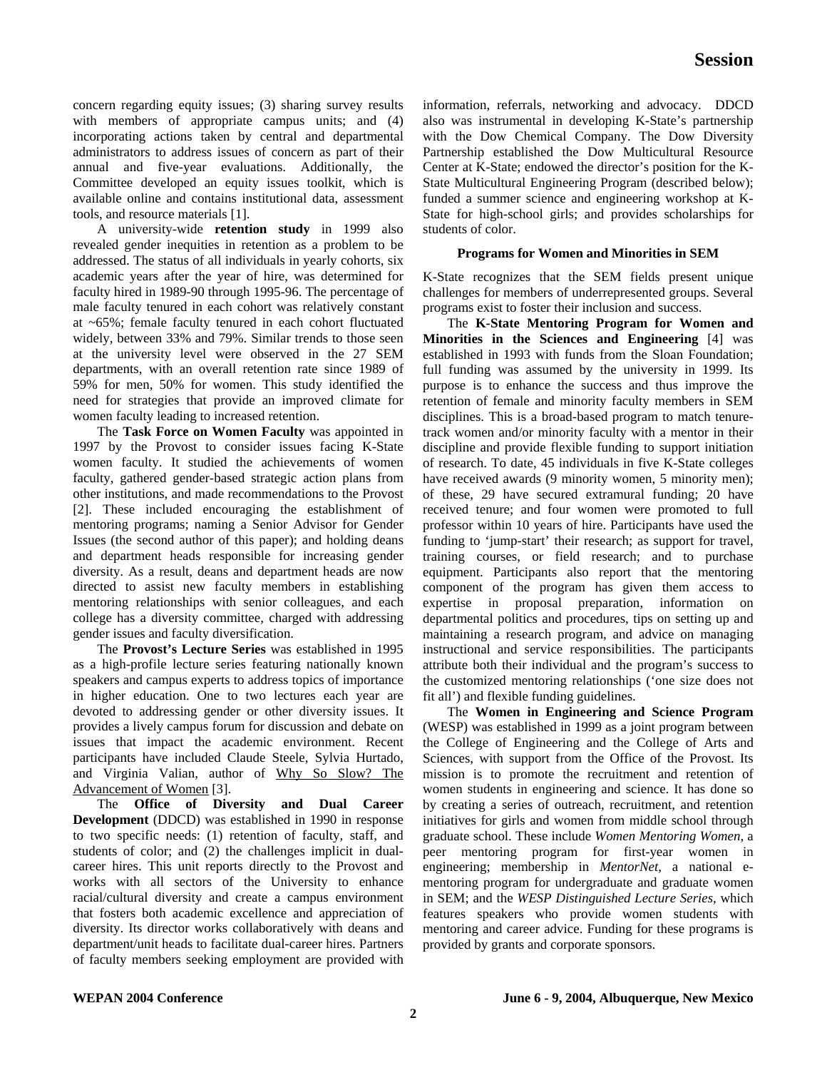concern regarding equity issues; (3) sharing survey results with members of appropriate campus units; and (4) incorporating actions taken by central and departmental administrators to address issues of concern as part of their annual and five-year evaluations. Additionally, the Committee developed an equity issues toolkit, which is available online and contains institutional data, assessment tools, and resource materials [1].

A university-wide **retention study** in 1999 also revealed gender inequities in retention as a problem to be addressed. The status of all individuals in yearly cohorts, six academic years after the year of hire, was determined for faculty hired in 1989-90 through 1995-96. The percentage of male faculty tenured in each cohort was relatively constant at ~65%; female faculty tenured in each cohort fluctuated widely, between 33% and 79%. Similar trends to those seen at the university level were observed in the 27 SEM departments, with an overall retention rate since 1989 of 59% for men, 50% for women. This study identified the need for strategies that provide an improved climate for women faculty leading to increased retention.

The **Task Force on Women Faculty** was appointed in 1997 by the Provost to consider issues facing K-State women faculty. It studied the achievements of women faculty, gathered gender-based strategic action plans from other institutions, and made recommendations to the Provost [2]. These included encouraging the establishment of mentoring programs; naming a Senior Advisor for Gender Issues (the second author of this paper); and holding deans and department heads responsible for increasing gender diversity. As a result, deans and department heads are now directed to assist new faculty members in establishing mentoring relationships with senior colleagues, and each college has a diversity committee, charged with addressing gender issues and faculty diversification.

The **Provost's Lecture Series** was established in 1995 as a high-profile lecture series featuring nationally known speakers and campus experts to address topics of importance in higher education. One to two lectures each year are devoted to addressing gender or other diversity issues. It provides a lively campus forum for discussion and debate on issues that impact the academic environment. Recent participants have included Claude Steele, Sylvia Hurtado, and Virginia Valian, author of Why So Slow? The Advancement of Women [3].

The **Office of Diversity and Dual Career Development** (DDCD) was established in 1990 in response to two specific needs: (1) retention of faculty, staff, and students of color; and (2) the challenges implicit in dualcareer hires. This unit reports directly to the Provost and works with all sectors of the University to enhance racial/cultural diversity and create a campus environment that fosters both academic excellence and appreciation of diversity. Its director works collaboratively with deans and department/unit heads to facilitate dual-career hires. Partners of faculty members seeking employment are provided with information, referrals, networking and advocacy. DDCD also was instrumental in developing K-State's partnership with the Dow Chemical Company. The Dow Diversity Partnership established the Dow Multicultural Resource Center at K-State; endowed the director's position for the K-State Multicultural Engineering Program (described below); funded a summer science and engineering workshop at K-State for high-school girls; and provides scholarships for students of color.

# **Programs for Women and Minorities in SEM**

K-State recognizes that the SEM fields present unique challenges for members of underrepresented groups. Several programs exist to foster their inclusion and success.

The **K-State Mentoring Program for Women and Minorities in the Sciences and Engineering** [4] was established in 1993 with funds from the Sloan Foundation; full funding was assumed by the university in 1999. Its purpose is to enhance the success and thus improve the retention of female and minority faculty members in SEM disciplines. This is a broad-based program to match tenuretrack women and/or minority faculty with a mentor in their discipline and provide flexible funding to support initiation of research. To date, 45 individuals in five K-State colleges have received awards (9 minority women, 5 minority men); of these, 29 have secured extramural funding; 20 have received tenure; and four women were promoted to full professor within 10 years of hire. Participants have used the funding to 'jump-start' their research; as support for travel, training courses, or field research; and to purchase equipment. Participants also report that the mentoring component of the program has given them access to expertise in proposal preparation, information on departmental politics and procedures, tips on setting up and maintaining a research program, and advice on managing instructional and service responsibilities. The participants attribute both their individual and the program's success to the customized mentoring relationships ('one size does not fit all') and flexible funding guidelines.

The **Women in Engineering and Science Program** (WESP) was established in 1999 as a joint program between the College of Engineering and the College of Arts and Sciences, with support from the Office of the Provost. Its mission is to promote the recruitment and retention of women students in engineering and science. It has done so by creating a series of outreach, recruitment, and retention initiatives for girls and women from middle school through graduate school. These include *Women Mentoring Women*, a peer mentoring program for first-year women in engineering; membership in *MentorNet*, a national ementoring program for undergraduate and graduate women in SEM; and the *WESP Distinguished Lecture Series*, which features speakers who provide women students with mentoring and career advice. Funding for these programs is provided by grants and corporate sponsors.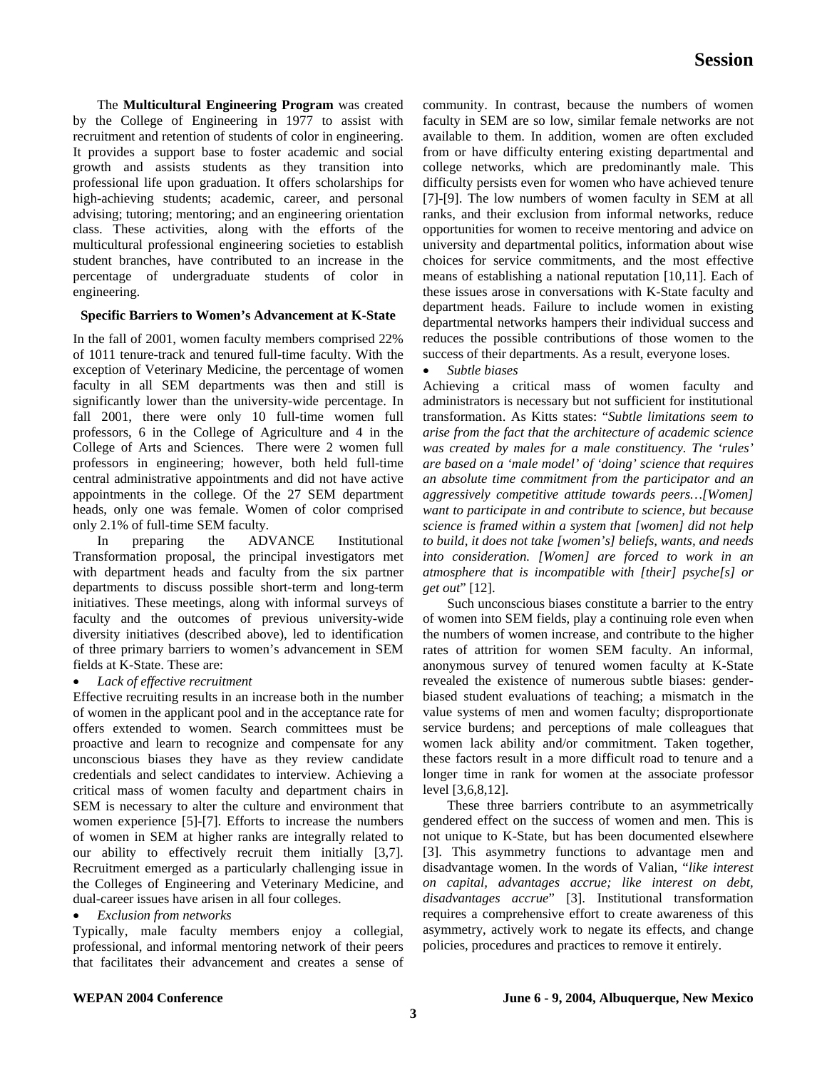The **Multicultural Engineering Program** was created by the College of Engineering in 1977 to assist with recruitment and retention of students of color in engineering. It provides a support base to foster academic and social growth and assists students as they transition into professional life upon graduation. It offers scholarships for high-achieving students; academic, career, and personal advising; tutoring; mentoring; and an engineering orientation class. These activities, along with the efforts of the multicultural professional engineering societies to establish student branches, have contributed to an increase in the percentage of undergraduate students of color in engineering.

#### **Specific Barriers to Women's Advancement at K-State**

In the fall of 2001, women faculty members comprised 22% of 1011 tenure-track and tenured full-time faculty. With the exception of Veterinary Medicine, the percentage of women faculty in all SEM departments was then and still is significantly lower than the university-wide percentage. In fall 2001, there were only 10 full-time women full professors, 6 in the College of Agriculture and 4 in the College of Arts and Sciences. There were 2 women full professors in engineering; however, both held full-time central administrative appointments and did not have active appointments in the college. Of the 27 SEM department heads, only one was female. Women of color comprised only 2.1% of full-time SEM faculty.

In preparing the ADVANCE Institutional Transformation proposal, the principal investigators met with department heads and faculty from the six partner departments to discuss possible short-term and long-term initiatives. These meetings, along with informal surveys of faculty and the outcomes of previous university-wide diversity initiatives (described above), led to identification of three primary barriers to women's advancement in SEM fields at K-State. These are:

#### • *Lack of effective recruitment*

Effective recruiting results in an increase both in the number of women in the applicant pool and in the acceptance rate for offers extended to women. Search committees must be proactive and learn to recognize and compensate for any unconscious biases they have as they review candidate credentials and select candidates to interview. Achieving a critical mass of women faculty and department chairs in SEM is necessary to alter the culture and environment that women experience [5]-[7]. Efforts to increase the numbers of women in SEM at higher ranks are integrally related to our ability to effectively recruit them initially [3,7]. Recruitment emerged as a particularly challenging issue in the Colleges of Engineering and Veterinary Medicine, and dual-career issues have arisen in all four colleges.

# • *Exclusion from networks*

Typically, male faculty members enjoy a collegial, professional, and informal mentoring network of their peers that facilitates their advancement and creates a sense of community. In contrast, because the numbers of women faculty in SEM are so low, similar female networks are not available to them. In addition, women are often excluded from or have difficulty entering existing departmental and college networks, which are predominantly male. This difficulty persists even for women who have achieved tenure [7]-[9]. The low numbers of women faculty in SEM at all ranks, and their exclusion from informal networks, reduce opportunities for women to receive mentoring and advice on university and departmental politics, information about wise choices for service commitments, and the most effective means of establishing a national reputation [10,11]. Each of these issues arose in conversations with K-State faculty and department heads. Failure to include women in existing departmental networks hampers their individual success and reduces the possible contributions of those women to the success of their departments. As a result, everyone loses.

• *Subtle biases* 

Achieving a critical mass of women faculty and administrators is necessary but not sufficient for institutional transformation. As Kitts states: "*Subtle limitations seem to arise from the fact that the architecture of academic science was created by males for a male constituency. The 'rules' are based on a 'male model' of 'doing' science that requires an absolute time commitment from the participator and an aggressively competitive attitude towards peers…[Women] want to participate in and contribute to science, but because science is framed within a system that [women] did not help to build, it does not take [women's] beliefs, wants, and needs into consideration. [Women] are forced to work in an atmosphere that is incompatible with [their] psyche[s] or get out*" [12].

Such unconscious biases constitute a barrier to the entry of women into SEM fields, play a continuing role even when the numbers of women increase, and contribute to the higher rates of attrition for women SEM faculty. An informal, anonymous survey of tenured women faculty at K-State revealed the existence of numerous subtle biases: genderbiased student evaluations of teaching; a mismatch in the value systems of men and women faculty; disproportionate service burdens; and perceptions of male colleagues that women lack ability and/or commitment. Taken together, these factors result in a more difficult road to tenure and a longer time in rank for women at the associate professor level [3,6,8,12].

These three barriers contribute to an asymmetrically gendered effect on the success of women and men. This is not unique to K-State, but has been documented elsewhere [3]. This asymmetry functions to advantage men and disadvantage women. In the words of Valian, "*like interest on capital, advantages accrue; like interest on debt, disadvantages accrue*" [3]. Institutional transformation requires a comprehensive effort to create awareness of this asymmetry, actively work to negate its effects, and change policies, procedures and practices to remove it entirely.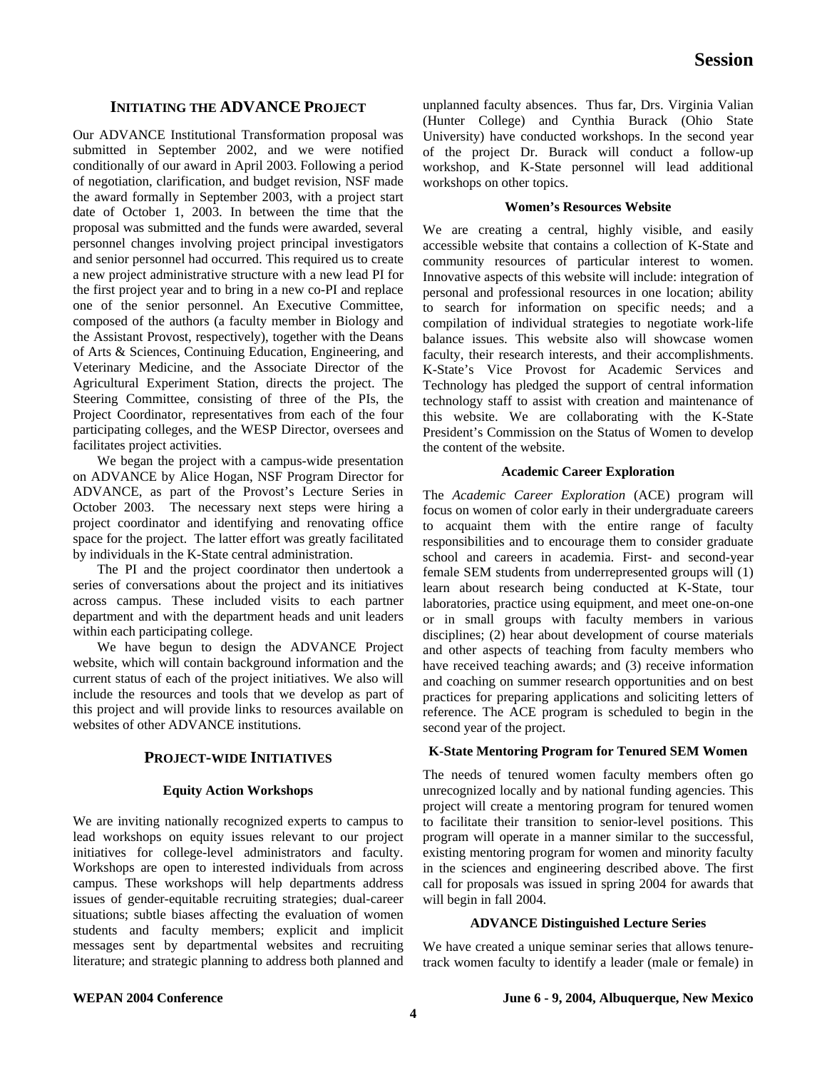# **INITIATING THE ADVANCE PROJECT**

Our ADVANCE Institutional Transformation proposal was submitted in September 2002, and we were notified conditionally of our award in April 2003. Following a period of negotiation, clarification, and budget revision, NSF made the award formally in September 2003, with a project start date of October 1, 2003. In between the time that the proposal was submitted and the funds were awarded, several personnel changes involving project principal investigators and senior personnel had occurred. This required us to create a new project administrative structure with a new lead PI for the first project year and to bring in a new co-PI and replace one of the senior personnel. An Executive Committee, composed of the authors (a faculty member in Biology and the Assistant Provost, respectively), together with the Deans of Arts & Sciences, Continuing Education, Engineering, and Veterinary Medicine, and the Associate Director of the Agricultural Experiment Station, directs the project. The Steering Committee, consisting of three of the PIs, the Project Coordinator, representatives from each of the four participating colleges, and the WESP Director, oversees and facilitates project activities.

We began the project with a campus-wide presentation on ADVANCE by Alice Hogan, NSF Program Director for ADVANCE, as part of the Provost's Lecture Series in October 2003. The necessary next steps were hiring a project coordinator and identifying and renovating office space for the project. The latter effort was greatly facilitated by individuals in the K-State central administration.

The PI and the project coordinator then undertook a series of conversations about the project and its initiatives across campus. These included visits to each partner department and with the department heads and unit leaders within each participating college.

We have begun to design the ADVANCE Project website, which will contain background information and the current status of each of the project initiatives. We also will include the resources and tools that we develop as part of this project and will provide links to resources available on websites of other ADVANCE institutions.

# **PROJECT-WIDE INITIATIVES**

#### **Equity Action Workshops**

We are inviting nationally recognized experts to campus to lead workshops on equity issues relevant to our project initiatives for college-level administrators and faculty. Workshops are open to interested individuals from across campus. These workshops will help departments address issues of gender-equitable recruiting strategies; dual-career situations; subtle biases affecting the evaluation of women students and faculty members; explicit and implicit messages sent by departmental websites and recruiting literature; and strategic planning to address both planned and unplanned faculty absences. Thus far, Drs. Virginia Valian (Hunter College) and Cynthia Burack (Ohio State University) have conducted workshops. In the second year of the project Dr. Burack will conduct a follow-up workshop, and K-State personnel will lead additional workshops on other topics.

#### **Women's Resources Website**

We are creating a central, highly visible, and easily accessible website that contains a collection of K-State and community resources of particular interest to women. Innovative aspects of this website will include: integration of personal and professional resources in one location; ability to search for information on specific needs; and a compilation of individual strategies to negotiate work-life balance issues. This website also will showcase women faculty, their research interests, and their accomplishments. K-State's Vice Provost for Academic Services and Technology has pledged the support of central information technology staff to assist with creation and maintenance of this website. We are collaborating with the K-State President's Commission on the Status of Women to develop the content of the website.

#### **Academic Career Exploration**

The *Academic Career Exploration* (ACE) program will focus on women of color early in their undergraduate careers to acquaint them with the entire range of faculty responsibilities and to encourage them to consider graduate school and careers in academia. First- and second-year female SEM students from underrepresented groups will (1) learn about research being conducted at K-State, tour laboratories, practice using equipment, and meet one-on-one or in small groups with faculty members in various disciplines; (2) hear about development of course materials and other aspects of teaching from faculty members who have received teaching awards; and (3) receive information and coaching on summer research opportunities and on best practices for preparing applications and soliciting letters of reference. The ACE program is scheduled to begin in the second year of the project.

# **K-State Mentoring Program for Tenured SEM Women**

The needs of tenured women faculty members often go unrecognized locally and by national funding agencies. This project will create a mentoring program for tenured women to facilitate their transition to senior-level positions. This program will operate in a manner similar to the successful, existing mentoring program for women and minority faculty in the sciences and engineering described above. The first call for proposals was issued in spring 2004 for awards that will begin in fall 2004.

# **ADVANCE Distinguished Lecture Series**

We have created a unique seminar series that allows tenuretrack women faculty to identify a leader (male or female) in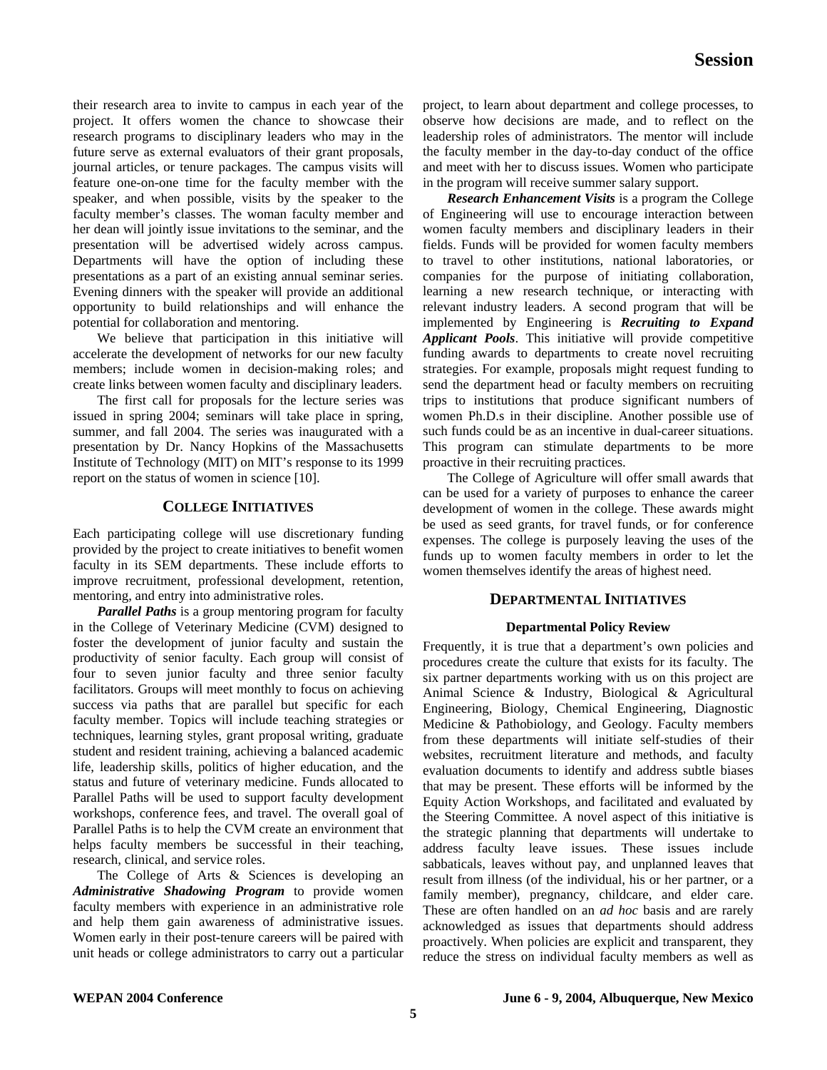their research area to invite to campus in each year of the project. It offers women the chance to showcase their research programs to disciplinary leaders who may in the future serve as external evaluators of their grant proposals, journal articles, or tenure packages. The campus visits will feature one-on-one time for the faculty member with the speaker, and when possible, visits by the speaker to the faculty member's classes. The woman faculty member and her dean will jointly issue invitations to the seminar, and the presentation will be advertised widely across campus. Departments will have the option of including these presentations as a part of an existing annual seminar series. Evening dinners with the speaker will provide an additional opportunity to build relationships and will enhance the potential for collaboration and mentoring.

We believe that participation in this initiative will accelerate the development of networks for our new faculty members; include women in decision-making roles; and create links between women faculty and disciplinary leaders.

The first call for proposals for the lecture series was issued in spring 2004; seminars will take place in spring, summer, and fall 2004. The series was inaugurated with a presentation by Dr. Nancy Hopkins of the Massachusetts Institute of Technology (MIT) on MIT's response to its 1999 report on the status of women in science [10].

# **COLLEGE INITIATIVES**

Each participating college will use discretionary funding provided by the project to create initiatives to benefit women faculty in its SEM departments. These include efforts to improve recruitment, professional development, retention, mentoring, and entry into administrative roles.

*Parallel Paths* is a group mentoring program for faculty in the College of Veterinary Medicine (CVM) designed to foster the development of junior faculty and sustain the productivity of senior faculty. Each group will consist of four to seven junior faculty and three senior faculty facilitators. Groups will meet monthly to focus on achieving success via paths that are parallel but specific for each faculty member. Topics will include teaching strategies or techniques, learning styles, grant proposal writing, graduate student and resident training, achieving a balanced academic life, leadership skills, politics of higher education, and the status and future of veterinary medicine. Funds allocated to Parallel Paths will be used to support faculty development workshops, conference fees, and travel. The overall goal of Parallel Paths is to help the CVM create an environment that helps faculty members be successful in their teaching, research, clinical, and service roles.

The College of Arts & Sciences is developing an *Administrative Shadowing Program* to provide women faculty members with experience in an administrative role and help them gain awareness of administrative issues. Women early in their post-tenure careers will be paired with unit heads or college administrators to carry out a particular project, to learn about department and college processes, to observe how decisions are made, and to reflect on the leadership roles of administrators. The mentor will include the faculty member in the day-to-day conduct of the office and meet with her to discuss issues. Women who participate in the program will receive summer salary support.

*Research Enhancement Visits* is a program the College of Engineering will use to encourage interaction between women faculty members and disciplinary leaders in their fields. Funds will be provided for women faculty members to travel to other institutions, national laboratories, or companies for the purpose of initiating collaboration, learning a new research technique, or interacting with relevant industry leaders. A second program that will be implemented by Engineering is *Recruiting to Expand Applicant Pools*. This initiative will provide competitive funding awards to departments to create novel recruiting strategies. For example, proposals might request funding to send the department head or faculty members on recruiting trips to institutions that produce significant numbers of women Ph.D.s in their discipline. Another possible use of such funds could be as an incentive in dual-career situations. This program can stimulate departments to be more proactive in their recruiting practices.

The College of Agriculture will offer small awards that can be used for a variety of purposes to enhance the career development of women in the college. These awards might be used as seed grants, for travel funds, or for conference expenses. The college is purposely leaving the uses of the funds up to women faculty members in order to let the women themselves identify the areas of highest need.

# **DEPARTMENTAL INITIATIVES**

# **Departmental Policy Review**

Frequently, it is true that a department's own policies and procedures create the culture that exists for its faculty. The six partner departments working with us on this project are Animal Science & Industry, Biological & Agricultural Engineering, Biology, Chemical Engineering, Diagnostic Medicine & Pathobiology, and Geology. Faculty members from these departments will initiate self-studies of their websites, recruitment literature and methods, and faculty evaluation documents to identify and address subtle biases that may be present. These efforts will be informed by the Equity Action Workshops, and facilitated and evaluated by the Steering Committee. A novel aspect of this initiative is the strategic planning that departments will undertake to address faculty leave issues. These issues include sabbaticals, leaves without pay, and unplanned leaves that result from illness (of the individual, his or her partner, or a family member), pregnancy, childcare, and elder care. These are often handled on an *ad hoc* basis and are rarely acknowledged as issues that departments should address proactively. When policies are explicit and transparent, they reduce the stress on individual faculty members as well as